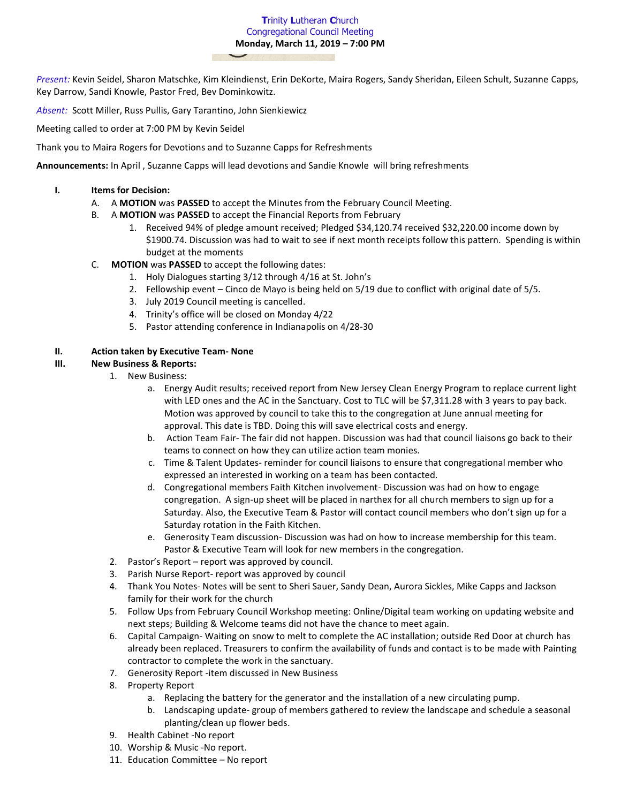### **T**rinity **L**utheran **C**hurch Congregational Council Meeting **Monday, March 11, 2019 – 7:00 PM**

*Present:* Kevin Seidel, Sharon Matschke, Kim Kleindienst, Erin DeKorte, Maira Rogers, Sandy Sheridan, Eileen Schult, Suzanne Capps, Key Darrow, Sandi Knowle, Pastor Fred, Bev Dominkowitz.

*Absent:* Scott Miller, Russ Pullis, Gary Tarantino, John Sienkiewicz

Meeting called to order at 7:00 PM by Kevin Seidel

Thank you to Maira Rogers for Devotions and to Suzanne Capps for Refreshments

**Announcements:** In April , Suzanne Capps will lead devotions and Sandie Knowle will bring refreshments

### **I. Items for Decision:**

- A. A **MOTION** was **PASSED** to accept the Minutes from the February Council Meeting.
- B. A **MOTION** was **PASSED** to accept the Financial Reports from February
	- 1. Received 94% of pledge amount received; Pledged \$34,120.74 received \$32,220.00 income down by \$1900.74. Discussion was had to wait to see if next month receipts follow this pattern. Spending is within budget at the moments
- C. **MOTION** was **PASSED** to accept the following dates:
	- 1. Holy Dialogues starting 3/12 through 4/16 at St. John's
	- 2. Fellowship event Cinco de Mayo is being held on 5/19 due to conflict with original date of 5/5.
	- 3. July 2019 Council meeting is cancelled.
	- 4. Trinity's office will be closed on Monday 4/22
	- 5. Pastor attending conference in Indianapolis on 4/28-30

# **II. Action taken by Executive Team- None**

# **III. New Business & Reports:**

- 1. New Business:
	- a. Energy Audit results; received report from New Jersey Clean Energy Program to replace current light with LED ones and the AC in the Sanctuary. Cost to TLC will be \$7,311.28 with 3 years to pay back. Motion was approved by council to take this to the congregation at June annual meeting for approval. This date is TBD. Doing this will save electrical costs and energy.
	- b. Action Team Fair- The fair did not happen. Discussion was had that council liaisons go back to their teams to connect on how they can utilize action team monies.
	- c. Time & Talent Updates- reminder for council liaisons to ensure that congregational member who expressed an interested in working on a team has been contacted.
	- d. Congregational members Faith Kitchen involvement- Discussion was had on how to engage congregation. A sign-up sheet will be placed in narthex for all church members to sign up for a Saturday. Also, the Executive Team & Pastor will contact council members who don't sign up for a Saturday rotation in the Faith Kitchen.
	- e. Generosity Team discussion- Discussion was had on how to increase membership for this team. Pastor & Executive Team will look for new members in the congregation.
- 2. Pastor's Report report was approved by council.
- 3. Parish Nurse Report- report was approved by council
- 4. Thank You Notes- Notes will be sent to Sheri Sauer, Sandy Dean, Aurora Sickles, Mike Capps and Jackson family for their work for the church
- 5. Follow Ups from February Council Workshop meeting: Online/Digital team working on updating website and next steps; Building & Welcome teams did not have the chance to meet again.
- 6. Capital Campaign- Waiting on snow to melt to complete the AC installation; outside Red Door at church has already been replaced. Treasurers to confirm the availability of funds and contact is to be made with Painting contractor to complete the work in the sanctuary.
- 7. Generosity Report -item discussed in New Business
- 8. Property Report
	- a. Replacing the battery for the generator and the installation of a new circulating pump.
	- b. Landscaping update- group of members gathered to review the landscape and schedule a seasonal planting/clean up flower beds.
- 9. Health Cabinet -No report
- 10. Worship & Music -No report.
- 11. Education Committee No report